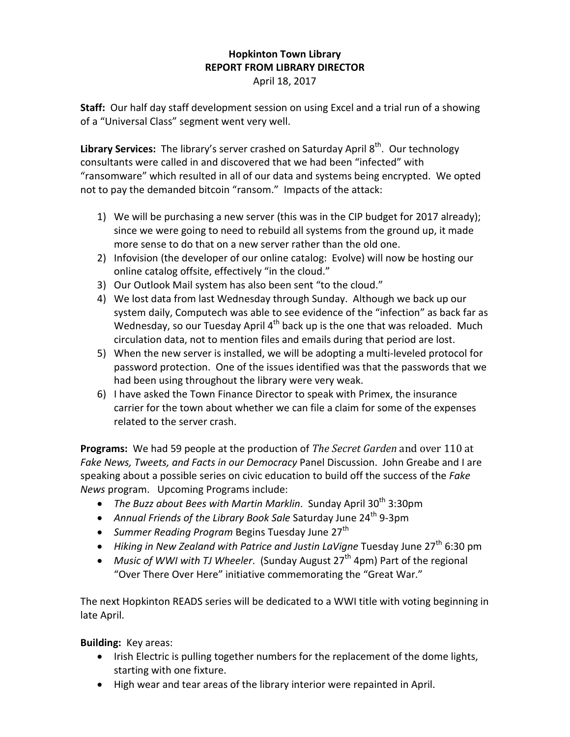## **Hopkinton Town Library REPORT FROM LIBRARY DIRECTOR** April 18, 2017

**Staff:** Our half day staff development session on using Excel and a trial run of a showing of a "Universal Class" segment went very well.

Library Services: The library's server crashed on Saturday April 8<sup>th</sup>. Our technology consultants were called in and discovered that we had been "infected" with "ransomware" which resulted in all of our data and systems being encrypted. We opted not to pay the demanded bitcoin "ransom." Impacts of the attack:

- 1) We will be purchasing a new server (this was in the CIP budget for 2017 already); since we were going to need to rebuild all systems from the ground up, it made more sense to do that on a new server rather than the old one.
- 2) Infovision (the developer of our online catalog: Evolve) will now be hosting our online catalog offsite, effectively "in the cloud."
- 3) Our Outlook Mail system has also been sent "to the cloud."
- 4) We lost data from last Wednesday through Sunday. Although we back up our system daily, Computech was able to see evidence of the "infection" as back far as Wednesday, so our Tuesday April  $4<sup>th</sup>$  back up is the one that was reloaded. Much circulation data, not to mention files and emails during that period are lost.
- 5) When the new server is installed, we will be adopting a multi-leveled protocol for password protection. One of the issues identified was that the passwords that we had been using throughout the library were very weak.
- 6) I have asked the Town Finance Director to speak with Primex, the insurance carrier for the town about whether we can file a claim for some of the expenses related to the server crash.

**Programs:** We had 59 people at the production of *The Secret Garden* and over 110 at *Fake News, Tweets, and Facts in our Democracy* Panel Discussion. John Greabe and I are speaking about a possible series on civic education to build off the success of the *Fake News* program. Upcoming Programs include:

- *The Buzz about Bees with Martin Marklin*. Sunday April 30<sup>th</sup> 3:30pm
- Annual Friends of the Library Book Sale Saturday June 24<sup>th</sup> 9-3pm
- *Summer Reading Program* Begins Tuesday June 27<sup>th</sup>
- *Hiking in New Zealand with Patrice and Justin LaVigne* Tuesday June 27<sup>th</sup> 6:30 pm
- *Music of WWI with TJ Wheeler.* (Sunday August 27<sup>th</sup> 4pm) Part of the regional "Over There Over Here" initiative commemorating the "Great War."

The next Hopkinton READS series will be dedicated to a WWI title with voting beginning in late April.

**Building:** Key areas:

- Irish Electric is pulling together numbers for the replacement of the dome lights, starting with one fixture.
- High wear and tear areas of the library interior were repainted in April.